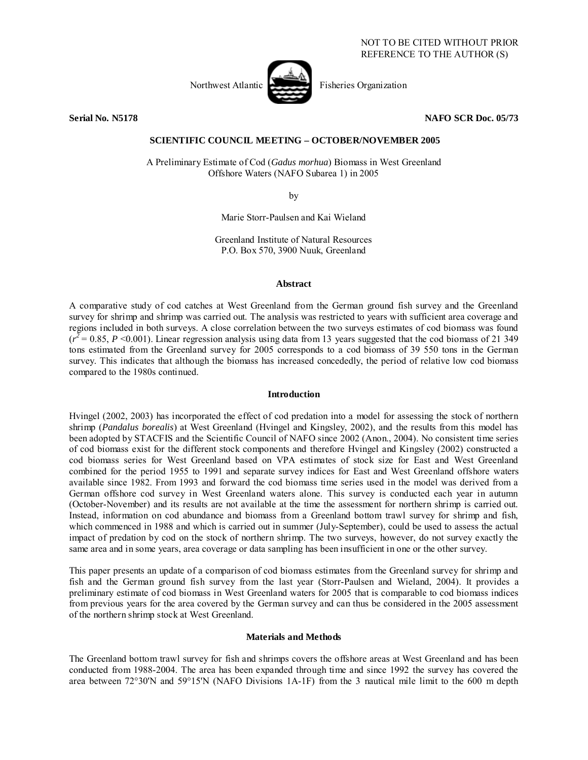

**Serial No. N5178 NAFO SCR Doc. 05/73** 

# **SCIENTIFIC COUNCIL MEETING – OCTOBER/NOVEMBER 2005**

A Preliminary Estimate of Cod (*Gadus morhua*) Biomass in West Greenland Offshore Waters (NAFO Subarea 1) in 2005

by

Marie Storr-Paulsen and Kai Wieland

Greenland Institute of Natural Resources P.O. Box 570, 3900 Nuuk, Greenland

## **Abstract**

A comparative study of cod catches at West Greenland from the German ground fish survey and the Greenland survey for shrimp and shrimp was carried out. The analysis was restricted to years with sufficient area coverage and regions included in both surveys. A close correlation between the two surveys estimates of cod biomass was found  $(r^2 = 0.85, P \le 0.001)$ . Linear regression analysis using data from 13 years suggested that the cod biomass of 21 349 tons estimated from the Greenland survey for 2005 corresponds to a cod biomass of 39 550 tons in the German survey. This indicates that although the biomass has increased concededly, the period of relative low cod biomass compared to the 1980s continued.

#### **Introduction**

Hvingel (2002, 2003) has incorporated the effect of cod predation into a model for assessing the stock of northern shrimp (*Pandalus borealis*) at West Greenland (Hvingel and Kingsley, 2002), and the results from this model has been adopted by STACFIS and the Scientific Council of NAFO since 2002 (Anon., 2004). No consistent time series of cod biomass exist for the different stock components and therefore Hvingel and Kingsley (2002) constructed a cod biomass series for West Greenland based on VPA estimates of stock size for East and West Greenland combined for the period 1955 to 1991 and separate survey indices for East and West Greenland offshore waters available since 1982. From 1993 and forward the cod biomass time series used in the model was derived from a German offshore cod survey in West Greenland waters alone. This survey is conducted each year in autumn (October-November) and its results are not available at the time the assessment for northern shrimp is carried out. Instead, information on cod abundance and biomass from a Greenland bottom trawl survey for shrimp and fish, which commenced in 1988 and which is carried out in summer (July-September), could be used to assess the actual impact of predation by cod on the stock of northern shrimp. The two surveys, however, do not survey exactly the same area and in some years, area coverage or data sampling has been insufficient in one or the other survey.

This paper presents an update of a comparison of cod biomass estimates from the Greenland survey for shrimp and fish and the German ground fish survey from the last year (Storr-Paulsen and Wieland, 2004). It provides a preliminary estimate of cod biomass in West Greenland waters for 2005 that is comparable to cod biomass indices from previous years for the area covered by the German survey and can thus be considered in the 2005 assessment of the northern shrimp stock at West Greenland.

## **Materials and Methods**

The Greenland bottom trawl survey for fish and shrimps covers the offshore areas at West Greenland and has been conducted from 1988-2004. The area has been expanded through time and since 1992 the survey has covered the area between 72°30'N and 59°15'N (NAFO Divisions 1A-1F) from the 3 nautical mile limit to the 600 m depth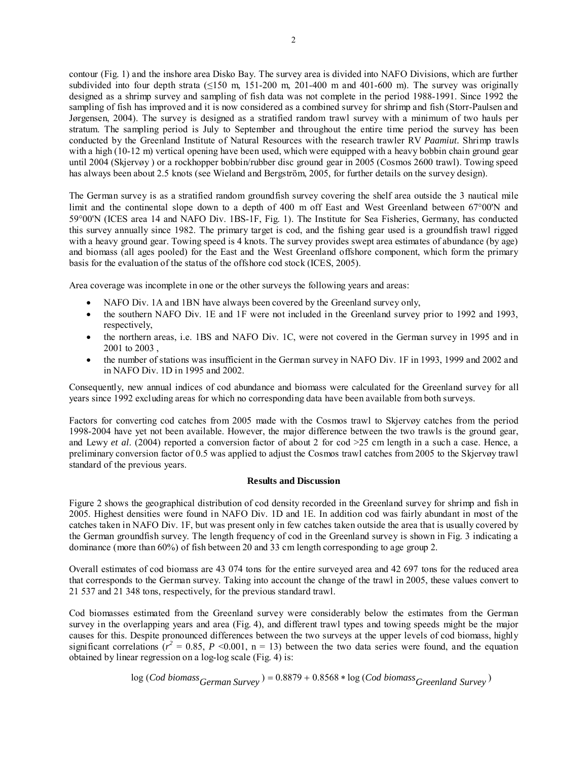contour (Fig. 1) and the inshore area Disko Bay. The survey area is divided into NAFO Divisions, which are further subdivided into four depth strata ( $\leq$ 150 m, 151-200 m, 201-400 m and 401-600 m). The survey was originally designed as a shrimp survey and sampling of fish data was not complete in the period 1988-1991. Since 1992 the sampling of fish has improved and it is now considered as a combined survey for shrimp and fish (Storr-Paulsen and Jørgensen, 2004). The survey is designed as a stratified random trawl survey with a minimum of two hauls per stratum. The sampling period is July to September and throughout the entire time period the survey has been conducted by the Greenland Institute of Natural Resources with the research trawler RV *Paamiut.* Shrimp trawls with a high (10-12 m) vertical opening have been used, which were equipped with a heavy bobbin chain ground gear until 2004 (Skjervøy ) or a rockhopper bobbin/rubber disc ground gear in 2005 (Cosmos 2600 trawl). Towing speed has always been about 2.5 knots (see Wieland and Bergström, 2005, for further details on the survey design).

The German survey is as a stratified random groundfish survey covering the shelf area outside the 3 nautical mile limit and the continental slope down to a depth of 400 m off East and West Greenland between 67°00'N and 59°00'N (ICES area 14 and NAFO Div. 1BS-1F, Fig. 1). The Institute for Sea Fisheries, Germany, has conducted this survey annually since 1982. The primary target is cod, and the fishing gear used is a groundfish trawl rigged with a heavy ground gear. Towing speed is 4 knots. The survey provides swept area estimates of abundance (by age) and biomass (all ages pooled) for the East and the West Greenland offshore component, which form the primary basis for the evaluation of the status of the offshore cod stock (ICES, 2005).

Area coverage was incomplete in one or the other surveys the following years and areas:

- NAFO Div. 1A and 1BN have always been covered by the Greenland survey only,
- the southern NAFO Div. 1E and 1F were not included in the Greenland survey prior to 1992 and 1993, respectively,
- the northern areas, i.e. 1BS and NAFO Div. 1C, were not covered in the German survey in 1995 and in 2001 to 2003 ,
- the number of stations was insufficient in the German survey in NAFO Div. 1F in 1993, 1999 and 2002 and in NAFO Div. 1D in 1995 and 2002.

Consequently, new annual indices of cod abundance and biomass were calculated for the Greenland survey for all years since 1992 excluding areas for which no corresponding data have been available from both surveys.

Factors for converting cod catches from 2005 made with the Cosmos trawl to Skjervøy catches from the period 1998-2004 have yet not been available. However, the major difference between the two trawls is the ground gear, and Lewy *et al*. (2004) reported a conversion factor of about 2 for cod >25 cm length in a such a case. Hence, a preliminary conversion factor of 0.5 was applied to adjust the Cosmos trawl catches from 2005 to the Skjervøy trawl standard of the previous years.

## **Results and Discussion**

Figure 2 shows the geographical distribution of cod density recorded in the Greenland survey for shrimp and fish in 2005. Highest densities were found in NAFO Div. 1D and 1E. In addition cod was fairly abundant in most of the catches taken in NAFO Div. 1F, but was present only in few catches taken outside the area that is usually covered by the German groundfish survey. The length frequency of cod in the Greenland survey is shown in Fig. 3 indicating a dominance (more than 60%) of fish between 20 and 33 cm length corresponding to age group 2.

Overall estimates of cod biomass are 43 074 tons for the entire surveyed area and 42 697 tons for the reduced area that corresponds to the German survey. Taking into account the change of the trawl in 2005, these values convert to 21 537 and 21 348 tons, respectively, for the previous standard trawl.

Cod biomasses estimated from the Greenland survey were considerably below the estimates from the German survey in the overlapping years and area (Fig. 4), and different trawl types and towing speeds might be the major causes for this. Despite pronounced differences between the two surveys at the upper levels of cod biomass, highly significant correlations  $(r^2 = 0.85, P \le 0.001, n = 13)$  between the two data series were found, and the equation obtained by linear regression on a log-log scale (Fig. 4) is:

$$
log (Cod \text{ biomass}_{German \, Survey}) = 0.8879 + 0.8568 * log (Cod \text{ biomass}_{Greenland \, Survey})
$$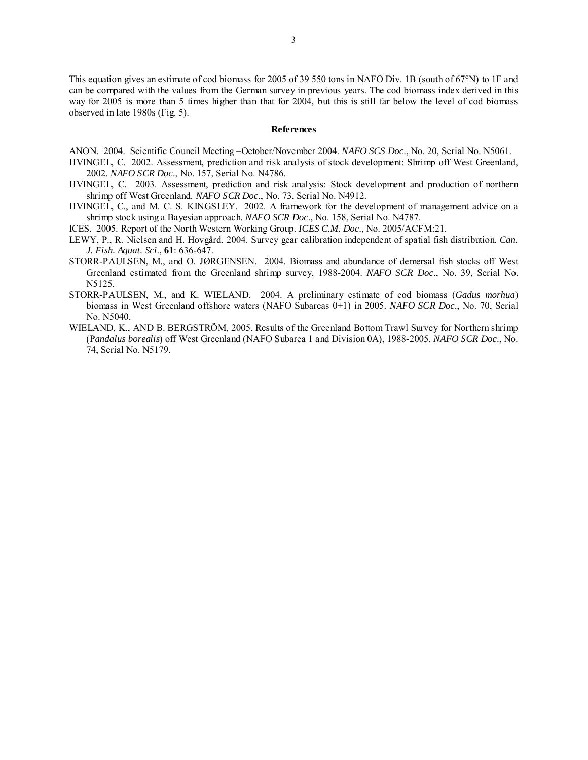This equation gives an estimate of cod biomass for 2005 of 39 550 tons in NAFO Div. 1B (south of 67°N) to 1F and can be compared with the values from the German survey in previous years. The cod biomass index derived in this way for 2005 is more than 5 times higher than that for 2004, but this is still far below the level of cod biomass observed in late 1980s (Fig. 5).

#### **References**

ANON. 2004. Scientific Council Meeting –October/November 2004. *NAFO SCS Doc*., No. 20, Serial No. N5061.

- HVINGEL, C. 2002. Assessment, prediction and risk analysis of stock development: Shrimp off West Greenland, 2002. *NAFO SCR Doc*., No. 157, Serial No. N4786.
- HVINGEL, C. 2003. Assessment, prediction and risk analysis: Stock development and production of northern shrimp off West Greenland. *NAFO SCR Doc*., No. 73, Serial No. N4912.
- HVINGEL, C., and M. C. S. KINGSLEY. 2002. A framework for the development of management advice on a shrimp stock using a Bayesian approach. *NAFO SCR Doc*., No. 158, Serial No. N4787.
- ICES. 2005. Report of the North Western Working Group. *ICES C.M. Doc*., No. 2005/ACFM:21.
- LEWY, P., R. Nielsen and H. Hovgård. 2004. Survey gear calibration independent of spatial fish distribution. *Can. J. Fish. Aquat. Sci*., **61**: 636-647.
- STORR-PAULSEN, M., and O. JØRGENSEN. 2004. Biomass and abundance of demersal fish stocks off West Greenland estimated from the Greenland shrimp survey, 1988-2004. *NAFO SCR Doc*., No. 39, Serial No. N5125.
- STORR-PAULSEN, M., and K. WIELAND. 2004. A preliminary estimate of cod biomass (*Gadus morhua*) biomass in West Greenland offshore waters (NAFO Subareas 0+1) in 2005. *NAFO SCR Doc*., No. 70, Serial No. N5040.
- WIELAND, K., AND B. BERGSTRÖM, 2005. Results of the Greenland Bottom Trawl Survey for Northern shrimp (P*andalus borealis*) off West Greenland (NAFO Subarea 1 and Division 0A), 1988-2005. *NAFO SCR Doc*., No. 74, Serial No. N5179.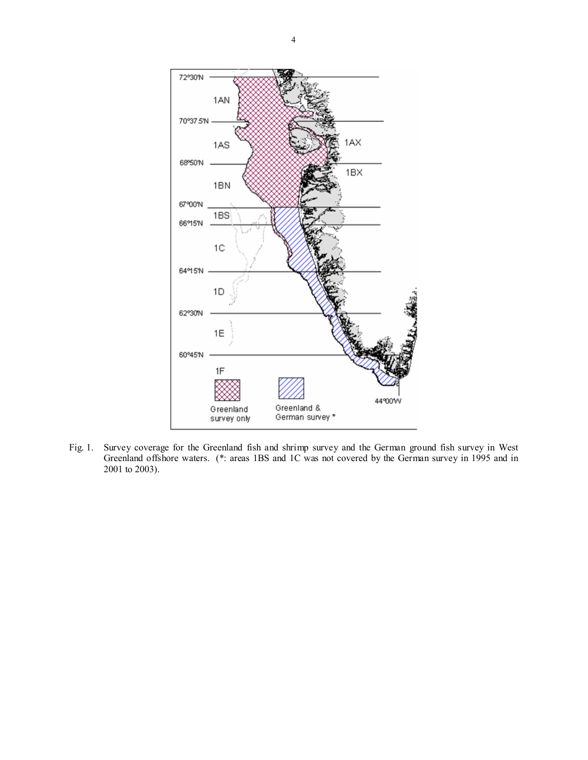

Fig. 1. Survey coverage for the Greenland fish and shrimp survey and the German ground fish survey in West Greenland offshore waters. (\*: areas 1BS and 1C was not covered by the German survey in 1995 and in 2001 to 2003).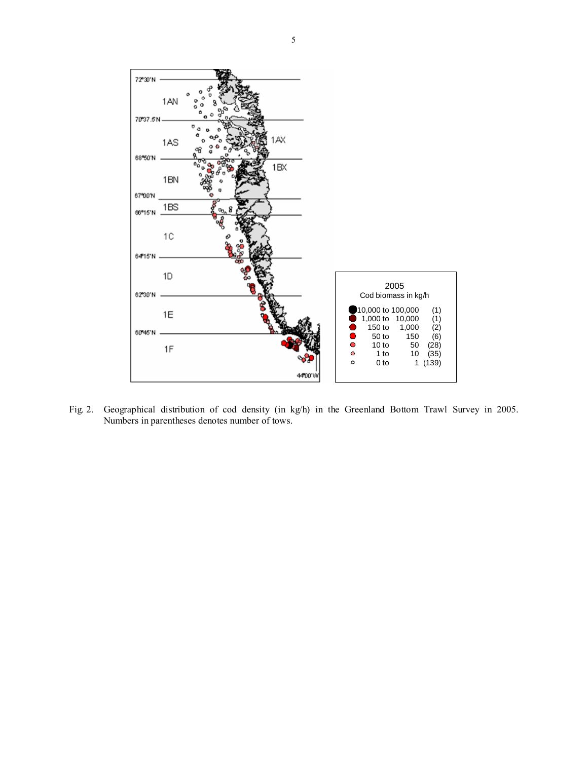

Fig. 2. Geographical distribution of cod density (in kg/h) in the Greenland Bottom Trawl Survey in 2005. Numbers in parentheses denotes number of tows.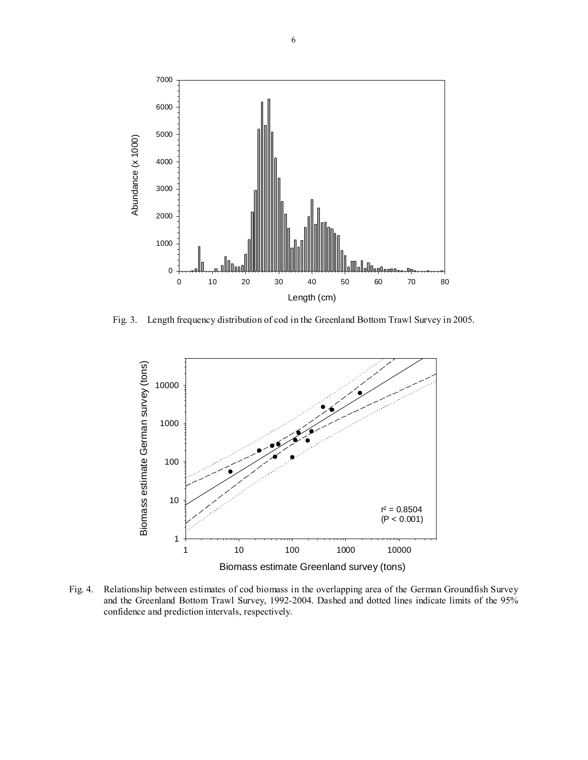

Fig. 3. Length frequency distribution of cod in the Greenland Bottom Trawl Survey in 2005.



Fig. 4. Relationship between estimates of cod biomass in the overlapping area of the German Groundfish Survey and the Greenland Bottom Trawl Survey, 1992-2004. Dashed and dotted lines indicate limits of the 95% confidence and prediction intervals, respectively.